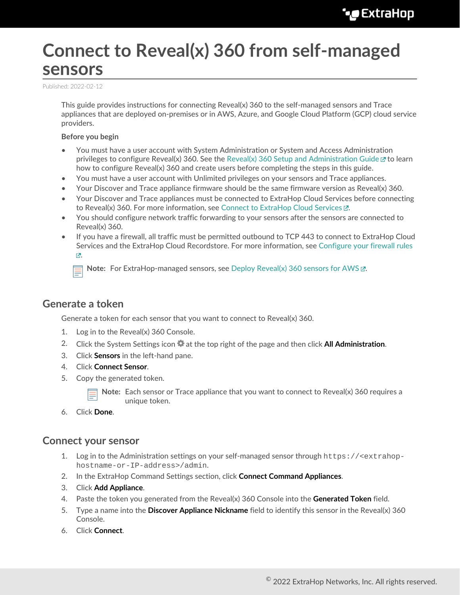# **Connect to Reveal(x) 360 from self-managed sensors**

Published: 2022-02-12

This guide provides instructions for connecting Reveal(x) 360 to the self-managed sensors and Trace appliances that are deployed on-premises or in AWS, Azure, and Google Cloud Platform (GCP) cloud service providers.

#### **Before you begin**

- You must have a user account with System Administration or System and Access Administration privileges to configure Reveal(x) 360. See the [Reveal\(x\) 360 Setup and Administration Guide](https://docs.extrahop.com/8.7/rx360-setup-admin)  $\mathbb Z$  to learn how to configure Reveal(x) 360 and create users before completing the steps in this guide.
- You must have a user account with Unlimited privileges on your sensors and Trace appliances.
- Your Discover and Trace appliance firmware should be the same firmware version as Reveal(x) 360.
- Your Discover and Trace appliances must be connected to ExtraHop Cloud Services before connecting to Reveal(x) 360. For more information, see Connect to ExtraHop Cloud Services  $\mathbb{E}$ .
- You should configure network traffic forwarding to your sensors after the sensors are connected to Reveal(x) 360.
- If you have a firewall, all traffic must be permitted outbound to TCP 443 to connect to ExtraHop Cloud Services and the ExtraHop Cloud Recordstore. For more information, see [Configure your firewall rules](https://docs.extrahop.com/8.7/rx360-setup-admin/#configure-your-firewall-rules) [.](https://docs.extrahop.com/8.7/rx360-setup-admin/#configure-your-firewall-rules)

**Note:** For ExtraHop-managed sensors, see [Deploy Reveal\(x\) 360 sensors for AWS .](https://docs.extrahop.com/8.7/dep-360-aws)..

#### **Generate a token**

Generate a token for each sensor that you want to connect to Reveal(x) 360.

- 1. Log in to the Reveal(x) 360 Console.
- 2. Click the System Settings icon **at all the top right of the page and then click All Administration**.
- 3. Click **Sensors** in the left-hand pane.
- 4. Click **Connect Sensor**.
- 5. Copy the generated token.

**Note:** Each sensor or Trace appliance that you want to connect to Reveal(x) 360 requires a unique token.

6. Click **Done**.

#### **Connect your sensor**

- 1. Log in to the Administration settings on your self-managed sensor through https://<extrahophostname-or-IP-address>/admin.
- 2. In the ExtraHop Command Settings section, click **Connect Command Appliances**.
- 3. Click **Add Appliance**.
- 4. Paste the token you generated from the Reveal(x) 360 Console into the **Generated Token** field.
- 5. Type a name into the **Discover Appliance Nickname** field to identify this sensor in the Reveal(x) 360 Console.
- 6. Click **Connect**.